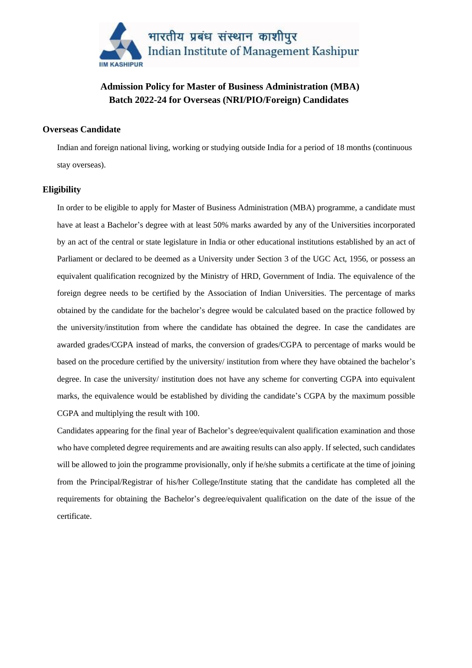

## **Admission Policy for Master of Business Administration (MBA) Batch 2022-24 for Overseas (NRI/PIO/Foreign) Candidates**

#### **Overseas Candidate**

Indian and foreign national living, working or studying outside India for a period of 18 months (continuous stay overseas).

#### **Eligibility**

In order to be eligible to apply for Master of Business Administration (MBA) programme, a candidate must have at least a Bachelor's degree with at least 50% marks awarded by any of the Universities incorporated by an act of the central or state legislature in India or other educational institutions established by an act of Parliament or declared to be deemed as a University under Section 3 of the UGC Act, 1956, or possess an equivalent qualification recognized by the Ministry of HRD, Government of India. The equivalence of the foreign degree needs to be certified by the Association of Indian Universities. The percentage of marks obtained by the candidate for the bachelor's degree would be calculated based on the practice followed by the university/institution from where the candidate has obtained the degree. In case the candidates are awarded grades/CGPA instead of marks, the conversion of grades/CGPA to percentage of marks would be based on the procedure certified by the university/ institution from where they have obtained the bachelor's degree. In case the university/ institution does not have any scheme for converting CGPA into equivalent marks, the equivalence would be established by dividing the candidate's CGPA by the maximum possible CGPA and multiplying the result with 100.

Candidates appearing for the final year of Bachelor's degree/equivalent qualification examination and those who have completed degree requirements and are awaiting results can also apply. If selected, such candidates will be allowed to join the programme provisionally, only if he/she submits a certificate at the time of joining from the Principal/Registrar of his/her College/Institute stating that the candidate has completed all the requirements for obtaining the Bachelor's degree/equivalent qualification on the date of the issue of the certificate.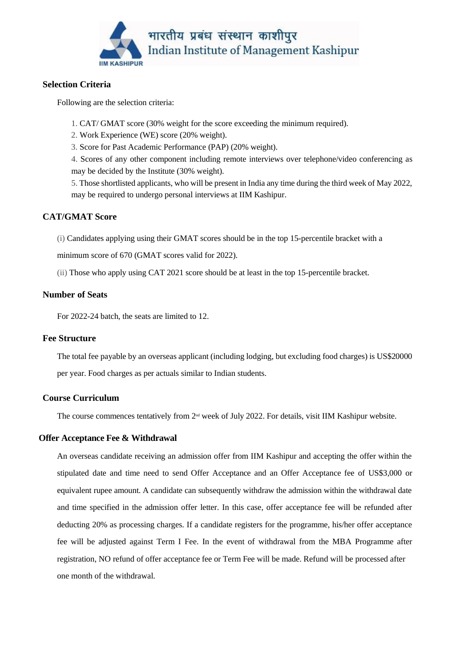

## **Selection Criteria**

Following are the selection criteria:

- 1. CAT/ GMAT score (30% weight for the score exceeding the minimum required).
- 2. Work Experience (WE) score (20% weight).
- 3. Score for Past Academic Performance (PAP) (20% weight).

4. Scores of any other component including remote interviews over telephone/video conferencing as may be decided by the Institute (30% weight).

5. Those shortlisted applicants, who will be present in India any time during the third week of May 2022, may be required to undergo personal interviews at IIM Kashipur.

## **CAT/GMAT Score**

(i) Candidates applying using their GMAT scores should be in the top 15-percentile bracket with a

minimum score of 670 (GMAT scores valid for 2022).

(ii) Those who apply using CAT 2021 score should be at least in the top 15-percentile bracket.

## **Number of Seats**

For 2022-24 batch, the seats are limited to 12.

### **Fee Structure**

The total fee payable by an overseas applicant (including lodging, but excluding food charges) is US\$20000 per year. Food charges as per actuals similar to Indian students.

## **Course Curriculum**

The course commences tentatively from  $2<sup>nd</sup>$  week of July 2022. For details, visit IIM Kashipur website.

### **Offer Acceptance Fee & Withdrawal**

An overseas candidate receiving an admission offer from IIM Kashipur and accepting the offer within the stipulated date and time need to send Offer Acceptance and an Offer Acceptance fee of US\$3,000 or equivalent rupee amount. A candidate can subsequently withdraw the admission within the withdrawal date and time specified in the admission offer letter. In this case, offer acceptance fee will be refunded after deducting 20% as processing charges. If a candidate registers for the programme, his/her offer acceptance fee will be adjusted against Term I Fee. In the event of withdrawal from the MBA Programme after registration, NO refund of offer acceptance fee or Term Fee will be made. Refund will be processed after one month of the withdrawal.